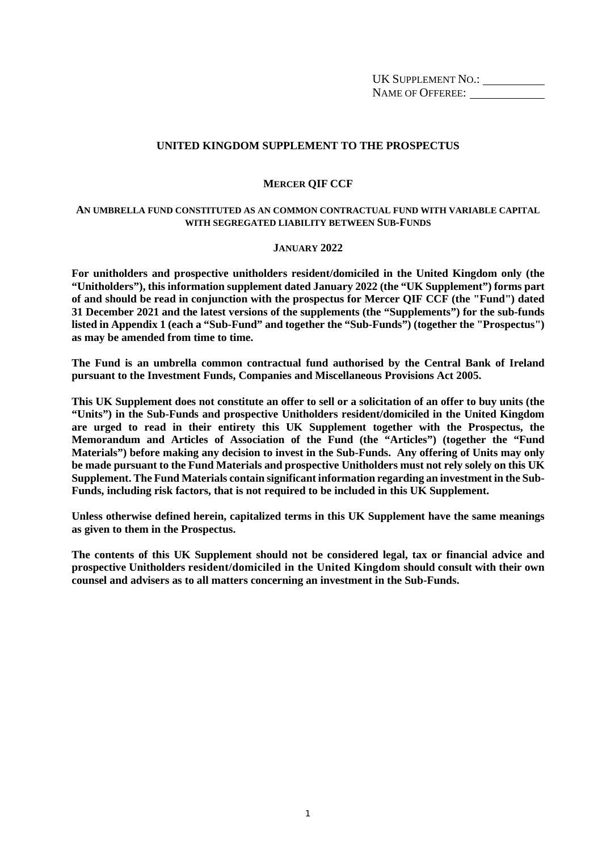UK SUPPLEMENT NO.: NAME OF OFFEREE: \_\_\_\_\_\_\_\_\_\_\_\_

# **UNITED KINGDOM SUPPLEMENT TO THE PROSPECTUS**

### **MERCER QIF CCF**

#### **AN UMBRELLA FUND CONSTITUTED AS AN COMMON CONTRACTUAL FUND WITH VARIABLE CAPITAL WITH SEGREGATED LIABILITY BETWEEN SUB-FUNDS**

#### **JANUARY 2022**

**For unitholders and prospective unitholders resident/domiciled in the United Kingdom only (the "Unitholders"), this information supplement dated January 2022 (the "UK Supplement") forms part of and should be read in conjunction with the prospectus for Mercer QIF CCF (the "Fund") dated 31 December 2021 and the latest versions of the supplements (the "Supplements") for the sub-funds listed in Appendix 1 (each a "Sub-Fund" and together the "Sub-Funds") (together the "Prospectus") as may be amended from time to time.** 

**The Fund is an umbrella common contractual fund authorised by the Central Bank of Ireland pursuant to the Investment Funds, Companies and Miscellaneous Provisions Act 2005.** 

**This UK Supplement does not constitute an offer to sell or a solicitation of an offer to buy units (the "Units") in the Sub-Funds and prospective Unitholders resident/domiciled in the United Kingdom are urged to read in their entirety this UK Supplement together with the Prospectus, the Memorandum and Articles of Association of the Fund (the "Articles") (together the "Fund Materials") before making any decision to invest in the Sub-Funds. Any offering of Units may only be made pursuant to the Fund Materials and prospective Unitholders must not rely solely on this UK Supplement. The Fund Materials contain significant information regarding an investment in the Sub-Funds, including risk factors, that is not required to be included in this UK Supplement.** 

**Unless otherwise defined herein, capitalized terms in this UK Supplement have the same meanings as given to them in the Prospectus.** 

**The contents of this UK Supplement should not be considered legal, tax or financial advice and prospective Unitholders resident/domiciled in the United Kingdom should consult with their own counsel and advisers as to all matters concerning an investment in the Sub-Funds.**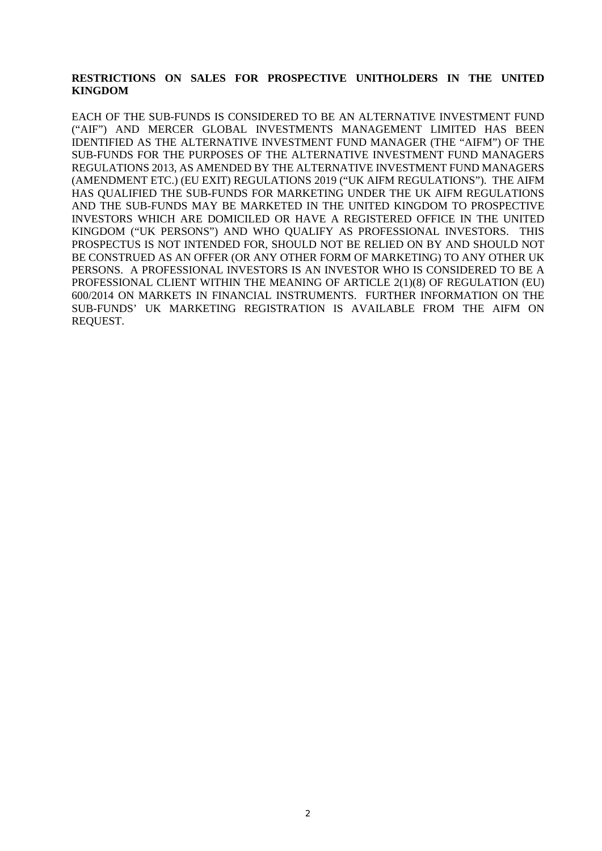# **RESTRICTIONS ON SALES FOR PROSPECTIVE UNITHOLDERS IN THE UNITED KINGDOM**

EACH OF THE SUB-FUNDS IS CONSIDERED TO BE AN ALTERNATIVE INVESTMENT FUND ("AIF") AND MERCER GLOBAL INVESTMENTS MANAGEMENT LIMITED HAS BEEN IDENTIFIED AS THE ALTERNATIVE INVESTMENT FUND MANAGER (THE "AIFM") OF THE SUB-FUNDS FOR THE PURPOSES OF THE ALTERNATIVE INVESTMENT FUND MANAGERS REGULATIONS 2013, AS AMENDED BY THE ALTERNATIVE INVESTMENT FUND MANAGERS (AMENDMENT ETC.) (EU EXIT) REGULATIONS 2019 ("UK AIFM REGULATIONS"). THE AIFM HAS QUALIFIED THE SUB-FUNDS FOR MARKETING UNDER THE UK AIFM REGULATIONS AND THE SUB-FUNDS MAY BE MARKETED IN THE UNITED KINGDOM TO PROSPECTIVE INVESTORS WHICH ARE DOMICILED OR HAVE A REGISTERED OFFICE IN THE UNITED KINGDOM ("UK PERSONS") AND WHO QUALIFY AS PROFESSIONAL INVESTORS. THIS PROSPECTUS IS NOT INTENDED FOR, SHOULD NOT BE RELIED ON BY AND SHOULD NOT BE CONSTRUED AS AN OFFER (OR ANY OTHER FORM OF MARKETING) TO ANY OTHER UK PERSONS. A PROFESSIONAL INVESTORS IS AN INVESTOR WHO IS CONSIDERED TO BE A PROFESSIONAL CLIENT WITHIN THE MEANING OF ARTICLE 2(1)(8) OF REGULATION (EU) 600/2014 ON MARKETS IN FINANCIAL INSTRUMENTS. FURTHER INFORMATION ON THE SUB-FUNDS' UK MARKETING REGISTRATION IS AVAILABLE FROM THE AIFM ON REQUEST.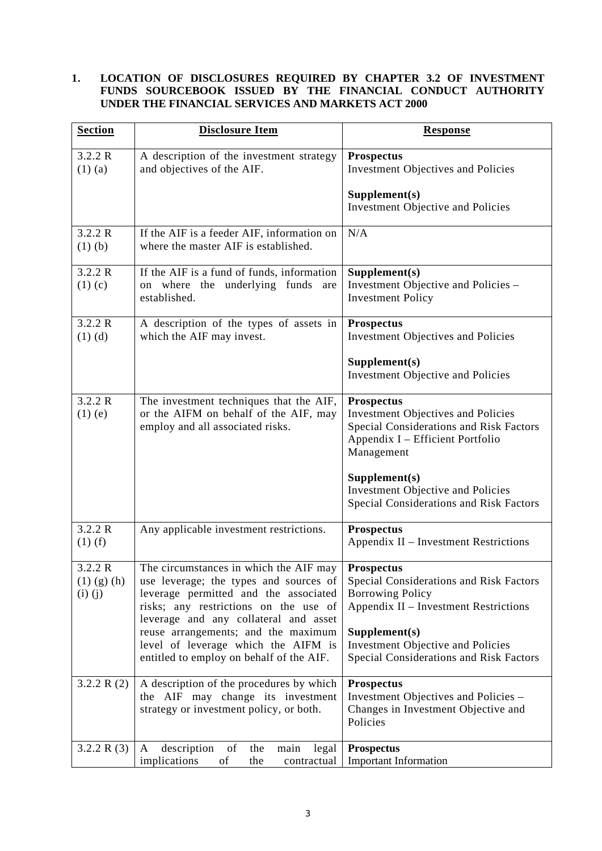# **1. LOCATION OF DISCLOSURES REQUIRED BY CHAPTER 3.2 OF INVESTMENT FUNDS SOURCEBOOK ISSUED BY THE FINANCIAL CONDUCT AUTHORITY UNDER THE FINANCIAL SERVICES AND MARKETS ACT 2000**

| <b>Section</b>                              | <b>Disclosure Item</b>                                                                                                                                                                                      | <b>Response</b>                                                                                                                                             |
|---------------------------------------------|-------------------------------------------------------------------------------------------------------------------------------------------------------------------------------------------------------------|-------------------------------------------------------------------------------------------------------------------------------------------------------------|
| 3.2.2 R<br>$(1)$ (a)                        | A description of the investment strategy<br>and objectives of the AIF.                                                                                                                                      | <b>Prospectus</b><br><b>Investment Objectives and Policies</b>                                                                                              |
|                                             |                                                                                                                                                                                                             | Supplement(s)<br>Investment Objective and Policies                                                                                                          |
| 3.2.2 R<br>$(1)$ $(b)$                      | If the AIF is a feeder AIF, information on<br>where the master AIF is established.                                                                                                                          | N/A                                                                                                                                                         |
| 3.2.2 R<br>$(1)$ (c)                        | If the AIF is a fund of funds, information<br>where the underlying funds<br>are<br>on<br>established.                                                                                                       | Supplement(s)<br>Investment Objective and Policies -<br><b>Investment Policy</b>                                                                            |
| 3.2.2 R<br>$(1)$ $(d)$                      | A description of the types of assets in<br>which the AIF may invest.                                                                                                                                        | <b>Prospectus</b><br><b>Investment Objectives and Policies</b>                                                                                              |
|                                             |                                                                                                                                                                                                             | Supplement(s)<br>Investment Objective and Policies                                                                                                          |
| 3.2.2 R<br>$(1)$ $(e)$                      | The investment techniques that the AIF,<br>or the AIFM on behalf of the AIF, may<br>employ and all associated risks.                                                                                        | <b>Prospectus</b><br><b>Investment Objectives and Policies</b><br>Special Considerations and Risk Factors<br>Appendix I - Efficient Portfolio<br>Management |
|                                             |                                                                                                                                                                                                             | Supplement(s)<br><b>Investment Objective and Policies</b><br>Special Considerations and Risk Factors                                                        |
| 3.2.2 R<br>$(1)$ (f)                        | Any applicable investment restrictions.                                                                                                                                                                     | <b>Prospectus</b><br>Appendix II - Investment Restrictions                                                                                                  |
| 3.2.2 R<br>$(1)$ $(g)$ $(h)$<br>$(i)$ $(j)$ | The circumstances in which the AIF may<br>use leverage; the types and sources of<br>leverage permitted and the associated<br>risks; any restrictions on the use of<br>leverage and any collateral and asset | <b>Prospectus</b><br>Special Considerations and Risk Factors<br><b>Borrowing Policy</b><br>Appendix II - Investment Restrictions                            |
|                                             | reuse arrangements; and the maximum<br>level of leverage which the AIFM is<br>entitled to employ on behalf of the AIF.                                                                                      | Supplement(s)<br>Investment Objective and Policies<br>Special Considerations and Risk Factors                                                               |
| 3.2.2 R $(2)$                               | A description of the procedures by which<br>the AIF may change its investment<br>strategy or investment policy, or both.                                                                                    | <b>Prospectus</b><br>Investment Objectives and Policies -<br>Changes in Investment Objective and<br>Policies                                                |
| 3.2.2 R $(3)$                               | description<br>of<br>the<br>A<br>main<br>legal<br>implications<br>of<br>the<br>contractual                                                                                                                  | <b>Prospectus</b><br><b>Important Information</b>                                                                                                           |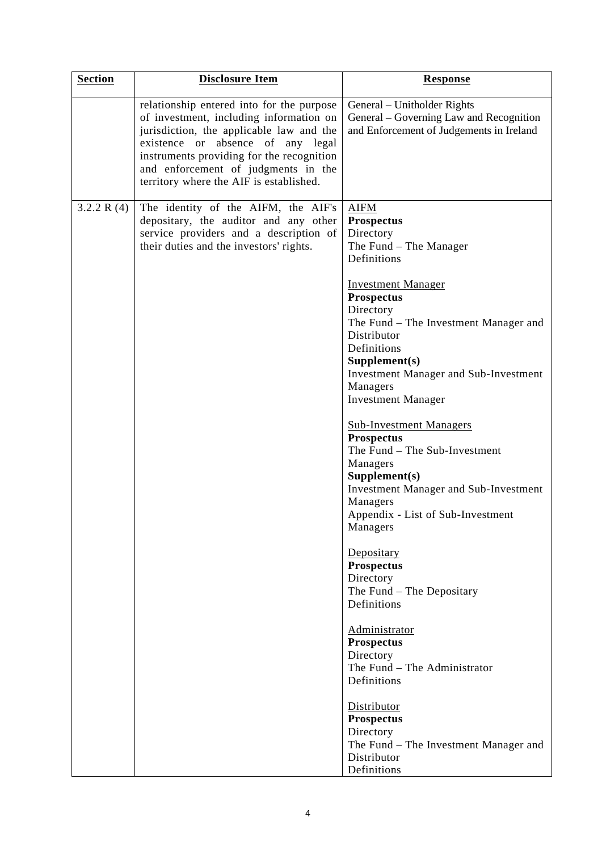| <b>Section</b> | <b>Disclosure Item</b>                                                                                                                                                                                                                                                                                  | <b>Response</b>                                                                                                                                                                                                                                                                                                                                                                                                                                                                                                                                                                                                                                                                                            |
|----------------|---------------------------------------------------------------------------------------------------------------------------------------------------------------------------------------------------------------------------------------------------------------------------------------------------------|------------------------------------------------------------------------------------------------------------------------------------------------------------------------------------------------------------------------------------------------------------------------------------------------------------------------------------------------------------------------------------------------------------------------------------------------------------------------------------------------------------------------------------------------------------------------------------------------------------------------------------------------------------------------------------------------------------|
|                | relationship entered into for the purpose<br>of investment, including information on<br>jurisdiction, the applicable law and the<br>absence of any legal<br>existence or<br>instruments providing for the recognition<br>and enforcement of judgments in the<br>territory where the AIF is established. | General – Unitholder Rights<br>General – Governing Law and Recognition<br>and Enforcement of Judgements in Ireland                                                                                                                                                                                                                                                                                                                                                                                                                                                                                                                                                                                         |
| 3.2.2 R $(4)$  | The identity of the AIFM, the AIF's<br>depositary, the auditor and any other<br>service providers and a description of<br>their duties and the investors' rights.                                                                                                                                       | <b>AIFM</b><br><b>Prospectus</b><br>Directory<br>The Fund - The Manager<br>Definitions<br><b>Investment Manager</b><br><b>Prospectus</b><br>Directory<br>The Fund – The Investment Manager and<br>Distributor<br>Definitions<br>Supplement(s)<br><b>Investment Manager and Sub-Investment</b><br>Managers<br><b>Investment Manager</b><br><b>Sub-Investment Managers</b><br><b>Prospectus</b><br>The Fund - The Sub-Investment<br>Managers<br>Supplement(s)<br><b>Investment Manager and Sub-Investment</b><br>Managers<br>Appendix - List of Sub-Investment<br>Managers<br>Depositary<br><b>Prospectus</b><br>Directory<br>The Fund - The Depositary<br>Definitions<br>Administrator<br><b>Prospectus</b> |
|                |                                                                                                                                                                                                                                                                                                         | Directory<br>The Fund - The Administrator<br>Definitions                                                                                                                                                                                                                                                                                                                                                                                                                                                                                                                                                                                                                                                   |
|                |                                                                                                                                                                                                                                                                                                         | Distributor<br><b>Prospectus</b><br>Directory<br>The Fund - The Investment Manager and<br>Distributor<br>Definitions                                                                                                                                                                                                                                                                                                                                                                                                                                                                                                                                                                                       |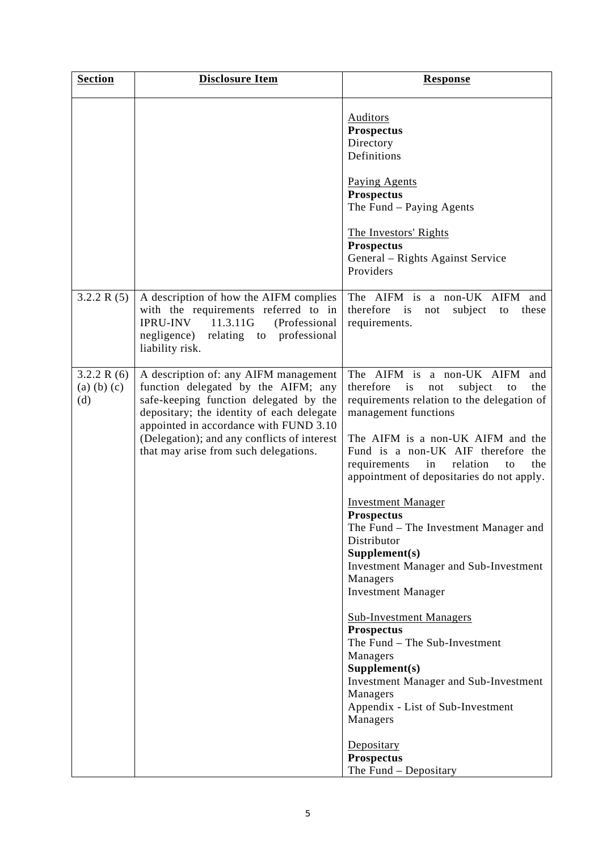| <b>Section</b>                         | <b>Disclosure Item</b>                                                                                                                                                                                                                                                                                | <b>Response</b>                                                                                                                                                                                                                                                                                                                                                                                                                                                                                                                                                                                                                                                                                                                                                                                                                                   |
|----------------------------------------|-------------------------------------------------------------------------------------------------------------------------------------------------------------------------------------------------------------------------------------------------------------------------------------------------------|---------------------------------------------------------------------------------------------------------------------------------------------------------------------------------------------------------------------------------------------------------------------------------------------------------------------------------------------------------------------------------------------------------------------------------------------------------------------------------------------------------------------------------------------------------------------------------------------------------------------------------------------------------------------------------------------------------------------------------------------------------------------------------------------------------------------------------------------------|
|                                        |                                                                                                                                                                                                                                                                                                       | <b>Auditors</b><br><b>Prospectus</b><br>Directory<br>Definitions<br><b>Paying Agents</b><br><b>Prospectus</b><br>The Fund – Paying Agents<br>The Investors' Rights<br><b>Prospectus</b><br>General – Rights Against Service<br>Providers                                                                                                                                                                                                                                                                                                                                                                                                                                                                                                                                                                                                          |
| 3.2.2 R $(5)$                          | A description of how the AIFM complies<br>with the requirements referred to in<br><b>IPRU-INV</b> 11.3.11G<br>(Professional<br>negligence) relating to professional<br>liability risk.                                                                                                                | The AIFM is a non-UK AIFM and<br>therefore is<br>subject<br>not<br>these<br>to<br>requirements.                                                                                                                                                                                                                                                                                                                                                                                                                                                                                                                                                                                                                                                                                                                                                   |
| 3.2.2 R(6)<br>$(a)$ $(b)$ $(c)$<br>(d) | A description of: any AIFM management<br>function delegated by the AIFM; any<br>safe-keeping function delegated by the<br>depositary; the identity of each delegate<br>appointed in accordance with FUND 3.10<br>(Delegation); and any conflicts of interest<br>that may arise from such delegations. | The AIFM is a non-UK AIFM<br>and<br>therefore<br>subject<br>the<br>is<br>not<br>to<br>requirements relation to the delegation of<br>management functions<br>The AIFM is a non-UK AIFM and the<br>Fund is a non-UK AIF therefore the<br>requirements<br>relation<br>the<br>in<br>to<br>appointment of depositaries do not apply.<br><b>Investment Manager</b><br><b>Prospectus</b><br>The Fund - The Investment Manager and<br>Distributor<br>Supplement(s)<br><b>Investment Manager and Sub-Investment</b><br>Managers<br><b>Investment Manager</b><br><b>Sub-Investment Managers</b><br><b>Prospectus</b><br>The Fund - The Sub-Investment<br>Managers<br>Supplement(s)<br><b>Investment Manager and Sub-Investment</b><br>Managers<br>Appendix - List of Sub-Investment<br>Managers<br>Depositary<br><b>Prospectus</b><br>The Fund - Depositary |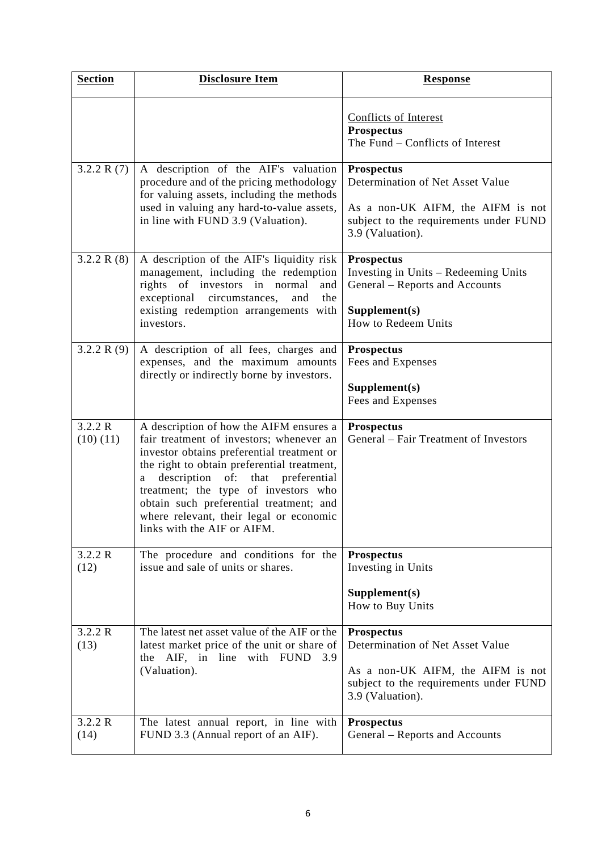| <b>Section</b>      | <b>Disclosure Item</b>                                                                                                                                                                                                                                                                                                                                                                        | <b>Response</b>                                                                                                                                          |
|---------------------|-----------------------------------------------------------------------------------------------------------------------------------------------------------------------------------------------------------------------------------------------------------------------------------------------------------------------------------------------------------------------------------------------|----------------------------------------------------------------------------------------------------------------------------------------------------------|
|                     |                                                                                                                                                                                                                                                                                                                                                                                               | <b>Conflicts of Interest</b><br><b>Prospectus</b><br>The Fund – Conflicts of Interest                                                                    |
| 3.2.2 R $(7)$       | A description of the AIF's valuation<br>procedure and of the pricing methodology<br>for valuing assets, including the methods<br>used in valuing any hard-to-value assets,<br>in line with FUND 3.9 (Valuation).                                                                                                                                                                              | <b>Prospectus</b><br>Determination of Net Asset Value<br>As a non-UK AIFM, the AIFM is not<br>subject to the requirements under FUND<br>3.9 (Valuation). |
| 3.2.2 R $(8)$       | A description of the AIF's liquidity risk<br>management, including the redemption<br>rights of investors in normal<br>and<br>exceptional circumstances,<br>the<br>and<br>existing redemption arrangements with<br>investors.                                                                                                                                                                  | <b>Prospectus</b><br>Investing in Units - Redeeming Units<br>General – Reports and Accounts<br>Supplement(s)<br>How to Redeem Units                      |
| 3.2.2 R $(9)$       | A description of all fees, charges and<br>expenses, and the maximum amounts<br>directly or indirectly borne by investors.                                                                                                                                                                                                                                                                     | <b>Prospectus</b><br>Fees and Expenses<br>Supplement(s)<br>Fees and Expenses                                                                             |
| 3.2.2 R<br>(10)(11) | A description of how the AIFM ensures a<br>fair treatment of investors; whenever an<br>investor obtains preferential treatment or<br>the right to obtain preferential treatment,<br>description<br>of:<br>that preferential<br>a<br>treatment; the type of investors who<br>obtain such preferential treatment; and<br>where relevant, their legal or economic<br>links with the AIF or AIFM. | <b>Prospectus</b><br>General - Fair Treatment of Investors                                                                                               |
| 3.2.2 R<br>(12)     | The procedure and conditions for the<br>issue and sale of units or shares.                                                                                                                                                                                                                                                                                                                    | <b>Prospectus</b><br>Investing in Units<br>Supplement(s)<br>How to Buy Units                                                                             |
| 3.2.2 R<br>(13)     | The latest net asset value of the AIF or the<br>latest market price of the unit or share of<br>with FUND<br>the AIF, in<br>line<br>3.9<br>(Valuation).                                                                                                                                                                                                                                        | <b>Prospectus</b><br>Determination of Net Asset Value<br>As a non-UK AIFM, the AIFM is not<br>subject to the requirements under FUND<br>3.9 (Valuation). |
| 3.2.2 R<br>(14)     | The latest annual report, in line with<br>FUND 3.3 (Annual report of an AIF).                                                                                                                                                                                                                                                                                                                 | <b>Prospectus</b><br>General - Reports and Accounts                                                                                                      |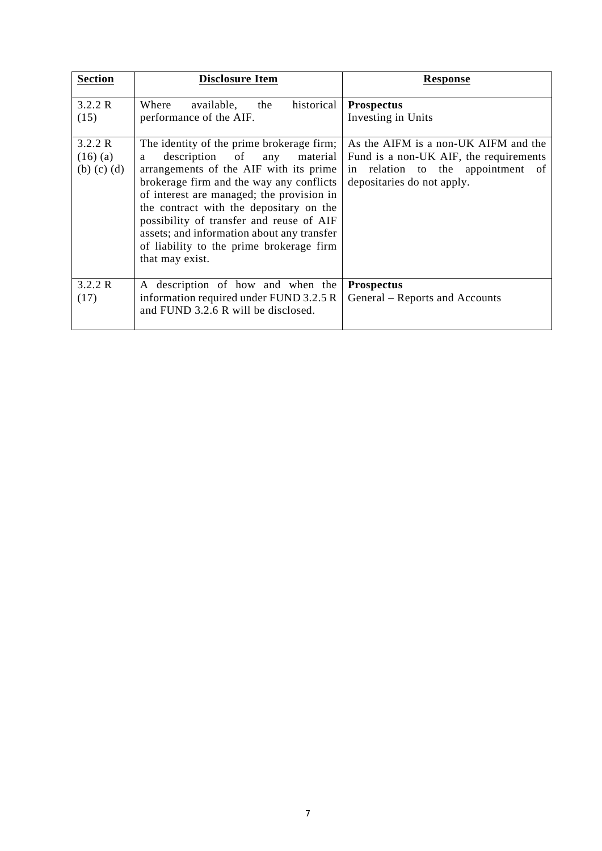| <b>Section</b>                             | <b>Disclosure Item</b>                                                                                                                                                                                                                                                                                                                                                                                                  | Response                                                                                                                                             |
|--------------------------------------------|-------------------------------------------------------------------------------------------------------------------------------------------------------------------------------------------------------------------------------------------------------------------------------------------------------------------------------------------------------------------------------------------------------------------------|------------------------------------------------------------------------------------------------------------------------------------------------------|
| 3.2.2 R<br>(15)                            | historical<br>available,<br>Where<br>the<br>performance of the AIF.                                                                                                                                                                                                                                                                                                                                                     | <b>Prospectus</b><br>Investing in Units                                                                                                              |
| 3.2.2 R<br>$(16)$ (a)<br>$(b)$ $(c)$ $(d)$ | The identity of the prime brokerage firm;<br>description of any<br>material<br>a<br>arrangements of the AIF with its prime<br>brokerage firm and the way any conflicts<br>of interest are managed; the provision in<br>the contract with the depositary on the<br>possibility of transfer and reuse of AIF<br>assets; and information about any transfer<br>of liability to the prime brokerage firm<br>that may exist. | As the AIFM is a non-UK AIFM and the<br>Fund is a non-UK AIF, the requirements<br>in relation to the appointment<br>of<br>depositaries do not apply. |
| 3.2.2 R<br>(17)                            | A description of how and when the<br>information required under FUND 3.2.5 R<br>and FUND 3.2.6 R will be disclosed.                                                                                                                                                                                                                                                                                                     | <b>Prospectus</b><br>General – Reports and Accounts                                                                                                  |